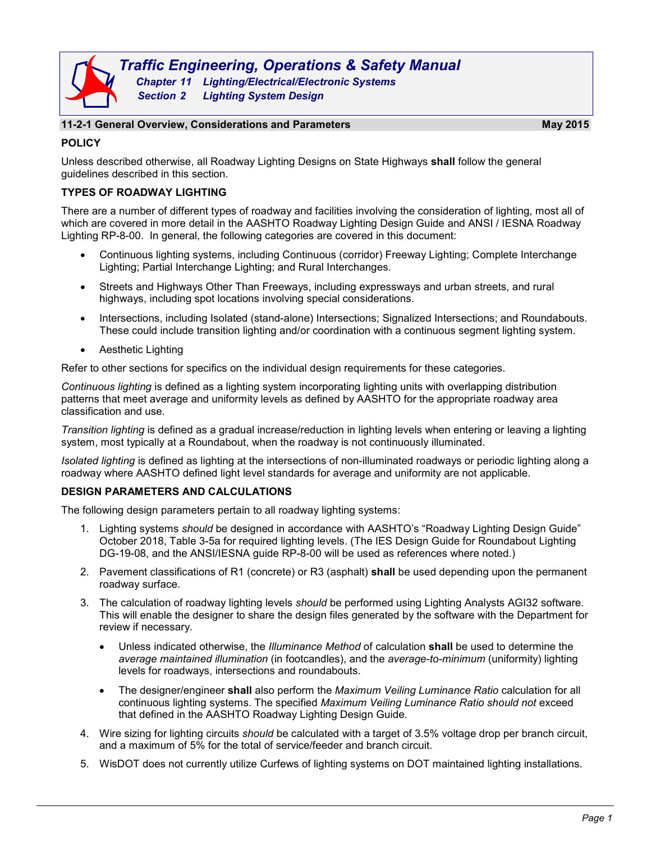

#### **11-2-1 General Overview, Considerations and Parameters May 2015**

# **POLICY**

Unless described otherwise, all Roadway Lighting Designs on State Highways **shall** follow the general guidelines described in this section.

# **TYPES OF ROADWAY LIGHTING**

There are a number of different types of roadway and facilities involving the consideration of lighting, most all of which are covered in more detail in the AASHTO Roadway Lighting Design Guide and ANSI / IESNA Roadway Lighting RP-8-00. In general, the following categories are covered in this document:

- Continuous lighting systems, including Continuous (corridor) Freeway Lighting; Complete Interchange Lighting; Partial Interchange Lighting; and Rural Interchanges.
- Streets and Highways Other Than Freeways, including expressways and urban streets, and rural highways, including spot locations involving special considerations.
- Intersections, including Isolated (stand-alone) Intersections; Signalized Intersections; and Roundabouts. These could include transition lighting and/or coordination with a continuous segment lighting system.
- Aesthetic Lighting

Refer to other sections for specifics on the individual design requirements for these categories.

*Continuous lighting* is defined as a lighting system incorporating lighting units with overlapping distribution patterns that meet average and uniformity levels as defined by AASHTO for the appropriate roadway area classification and use.

*Transition lighting* is defined as a gradual increase/reduction in lighting levels when entering or leaving a lighting system, most typically at a Roundabout, when the roadway is not continuously illuminated.

*Isolated lighting* is defined as lighting at the intersections of non-illuminated roadways or periodic lighting along a roadway where AASHTO defined light level standards for average and uniformity are not applicable.

# **DESIGN PARAMETERS AND CALCULATIONS**

The following design parameters pertain to all roadway lighting systems:

- 1. Lighting systems *should* be designed in accordance with AASHTO's "Roadway Lighting Design Guide" October 2018, Table 3-5a for required lighting levels. (The IES Design Guide for Roundabout Lighting DG-19-08, and the ANSI/IESNA guide RP-8-00 will be used as references where noted.)
- 2. Pavement classifications of R1 (concrete) or R3 (asphalt) **shall** be used depending upon the permanent roadway surface.
- 3. The calculation of roadway lighting levels *should* be performed using Lighting Analysts AGI32 software. This will enable the designer to share the design files generated by the software with the Department for review if necessary.
	- Unless indicated otherwise, the *Illuminance Method* of calculation **shall** be used to determine the *average maintained illumination* (in footcandles), and the *average-to-minimum* (uniformity) lighting levels for roadways, intersections and roundabouts.
	- The designer/engineer **shall** also perform the *Maximum Veiling Luminance Ratio* calculation for all continuous lighting systems. The specified *Maximum Veiling Luminance Ratio should not* exceed that defined in the AASHTO Roadway Lighting Design Guide.
- 4. Wire sizing for lighting circuits *should* be calculated with a target of 3.5% voltage drop per branch circuit, and a maximum of 5% for the total of service/feeder and branch circuit.
- 5. WisDOT does not currently utilize Curfews of lighting systems on DOT maintained lighting installations.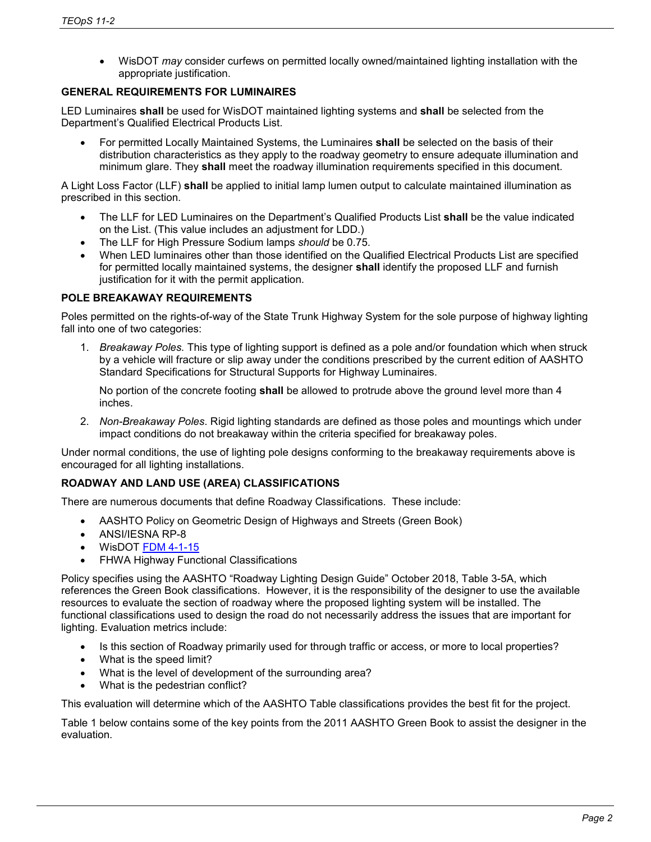• WisDOT *may* consider curfews on permitted locally owned/maintained lighting installation with the appropriate justification.

### **GENERAL REQUIREMENTS FOR LUMINAIRES**

LED Luminaires **shall** be used for WisDOT maintained lighting systems and **shall** be selected from the Department's Qualified Electrical Products List.

• For permitted Locally Maintained Systems, the Luminaires **shall** be selected on the basis of their distribution characteristics as they apply to the roadway geometry to ensure adequate illumination and minimum glare. They **shall** meet the roadway illumination requirements specified in this document.

A Light Loss Factor (LLF) **shall** be applied to initial lamp lumen output to calculate maintained illumination as prescribed in this section.

- The LLF for LED Luminaires on the Department's Qualified Products List **shall** be the value indicated on the List. (This value includes an adjustment for LDD.)
- The LLF for High Pressure Sodium lamps *should* be 0.75.
- When LED luminaires other than those identified on the Qualified Electrical Products List are specified for permitted locally maintained systems, the designer **shall** identify the proposed LLF and furnish justification for it with the permit application.

# **POLE BREAKAWAY REQUIREMENTS**

Poles permitted on the rights-of-way of the State Trunk Highway System for the sole purpose of highway lighting fall into one of two categories:

1. *Breakaway Poles.* This type of lighting support is defined as a pole and/or foundation which when struck by a vehicle will fracture or slip away under the conditions prescribed by the current edition of AASHTO Standard Specifications for Structural Supports for Highway Luminaires.

No portion of the concrete footing **shall** be allowed to protrude above the ground level more than 4 inches.

2. *Non-Breakaway Poles*. Rigid lighting standards are defined as those poles and mountings which under impact conditions do not breakaway within the criteria specified for breakaway poles.

Under normal conditions, the use of lighting pole designs conforming to the breakaway requirements above is encouraged for all lighting installations.

# **ROADWAY AND LAND USE (AREA) CLASSIFICATIONS**

There are numerous documents that define Roadway Classifications. These include:

- AASHTO Policy on Geometric Design of Highways and Streets (Green Book)
- ANSI/IESNA RP-8
- WisDOT [FDM 4-1-15](http://wisconsindot.gov/rdwy/fdm/fd-04-01.pdf#fd4-1-15)
- FHWA Highway Functional Classifications

Policy specifies using the AASHTO "Roadway Lighting Design Guide" October 2018, Table 3-5A, which references the Green Book classifications. However, it is the responsibility of the designer to use the available resources to evaluate the section of roadway where the proposed lighting system will be installed. The functional classifications used to design the road do not necessarily address the issues that are important for lighting. Evaluation metrics include:

- Is this section of Roadway primarily used for through traffic or access, or more to local properties?
- What is the speed limit?
- What is the level of development of the surrounding area?
- What is the pedestrian conflict?

This evaluation will determine which of the AASHTO Table classifications provides the best fit for the project.

Table 1 below contains some of the key points from the 2011 AASHTO Green Book to assist the designer in the evaluation.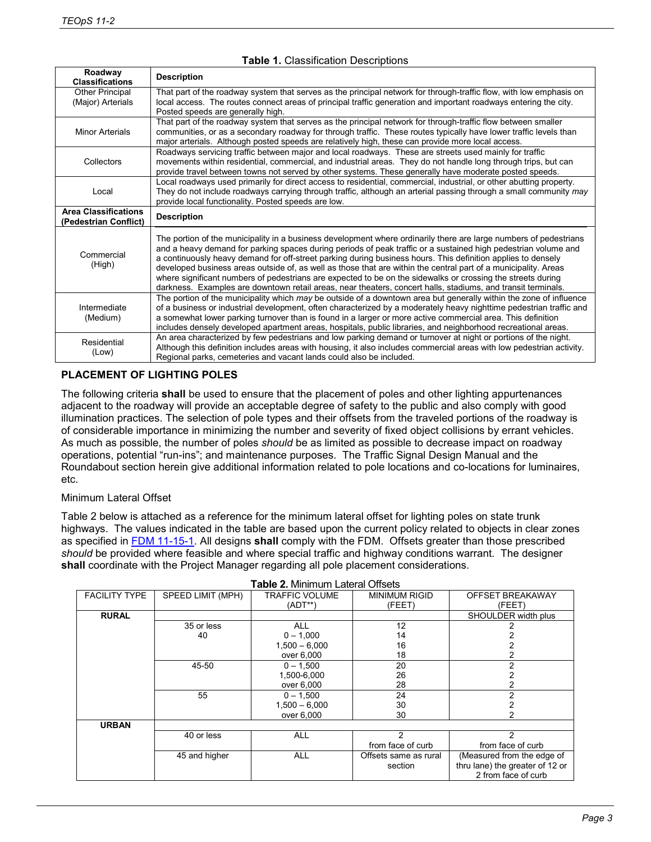| Roadway<br><b>Classifications</b>                    | <b>Description</b>                                                                                                                                                                                                                                                                                                                                                                                                                                                                                                                                                                                                                                                                                    |  |  |  |  |
|------------------------------------------------------|-------------------------------------------------------------------------------------------------------------------------------------------------------------------------------------------------------------------------------------------------------------------------------------------------------------------------------------------------------------------------------------------------------------------------------------------------------------------------------------------------------------------------------------------------------------------------------------------------------------------------------------------------------------------------------------------------------|--|--|--|--|
| Other Principal<br>(Major) Arterials                 | That part of the roadway system that serves as the principal network for through-traffic flow, with low emphasis on<br>local access. The routes connect areas of principal traffic generation and important roadways entering the city.<br>Posted speeds are generally high.                                                                                                                                                                                                                                                                                                                                                                                                                          |  |  |  |  |
| <b>Minor Arterials</b>                               | That part of the roadway system that serves as the principal network for through-traffic flow between smaller<br>communities, or as a secondary roadway for through traffic. These routes typically have lower traffic levels than<br>major arterials. Although posted speeds are relatively high, these can provide more local access.                                                                                                                                                                                                                                                                                                                                                               |  |  |  |  |
| Collectors                                           | Roadways servicing traffic between major and local roadways. These are streets used mainly for traffic<br>movements within residential, commercial, and industrial areas. They do not handle long through trips, but can<br>provide travel between towns not served by other systems. These generally have moderate posted speeds.                                                                                                                                                                                                                                                                                                                                                                    |  |  |  |  |
| Local                                                | Local roadways used primarily for direct access to residential, commercial, industrial, or other abutting property.<br>They do not include roadways carrying through traffic, although an arterial passing through a small community may<br>provide local functionality. Posted speeds are low.                                                                                                                                                                                                                                                                                                                                                                                                       |  |  |  |  |
| <b>Area Classifications</b><br>(Pedestrian Conflict) | <b>Description</b>                                                                                                                                                                                                                                                                                                                                                                                                                                                                                                                                                                                                                                                                                    |  |  |  |  |
| Commercial<br>(High)                                 | The portion of the municipality in a business development where ordinarily there are large numbers of pedestrians<br>and a heavy demand for parking spaces during periods of peak traffic or a sustained high pedestrian volume and<br>a continuously heavy demand for off-street parking during business hours. This definition applies to densely<br>developed business areas outside of, as well as those that are within the central part of a municipality. Areas<br>where significant numbers of pedestrians are expected to be on the sidewalks or crossing the streets during<br>darkness. Examples are downtown retail areas, near theaters, concert halls, stadiums, and transit terminals. |  |  |  |  |
| Intermediate<br>(Medium)                             | The portion of the municipality which may be outside of a downtown area but generally within the zone of influence<br>of a business or industrial development, often characterized by a moderately heavy nighttime pedestrian traffic and<br>a somewhat lower parking turnover than is found in a larger or more active commercial area. This definition<br>includes densely developed apartment areas, hospitals, public libraries, and neighborhood recreational areas.                                                                                                                                                                                                                             |  |  |  |  |
| Residential<br>(Low)                                 | An area characterized by few pedestrians and low parking demand or turnover at night or portions of the night.<br>Although this definition includes areas with housing, it also includes commercial areas with low pedestrian activity.<br>Regional parks, cemeteries and vacant lands could also be included.                                                                                                                                                                                                                                                                                                                                                                                        |  |  |  |  |

## **Table 1.** Classification Descriptions

### **PLACEMENT OF LIGHTING POLES**

The following criteria **shall** be used to ensure that the placement of poles and other lighting appurtenances adjacent to the roadway will provide an acceptable degree of safety to the public and also comply with good illumination practices. The selection of pole types and their offsets from the traveled portions of the roadway is of considerable importance in minimizing the number and severity of fixed object collisions by errant vehicles. As much as possible, the number of poles *should* be as limited as possible to decrease impact on roadway operations, potential "run-ins"; and maintenance purposes. The Traffic Signal Design Manual and the Roundabout section herein give additional information related to pole locations and co-locations for luminaires, etc.

#### Minimum Lateral Offset

Table 2 below is attached as a reference for the minimum lateral offset for lighting poles on state trunk highways. The values indicated in the table are based upon the current policy related to objects in clear zones as specified in [FDM 11-15-1.](http://wisconsindot.gov/rdwy/fdm/fd-11-15.pdf#fd11-15-1) All designs **shall** comply with the FDM. Offsets greater than those prescribed *should* be provided where feasible and where special traffic and highway conditions warrant. The designer **shall** coordinate with the Project Manager regarding all pole placement considerations.

| <b>I ADIC 4.</b> MII III IUI LAGI AI UIISCIS |                   |                       |                       |                                 |  |
|----------------------------------------------|-------------------|-----------------------|-----------------------|---------------------------------|--|
| <b>FACILITY TYPE</b>                         | SPEED LIMIT (MPH) | <b>TRAFFIC VOLUME</b> | <b>MINIMUM RIGID</b>  | OFFSET BREAKAWAY                |  |
|                                              |                   | (ADT**)               | (FEET)                | (FEET)                          |  |
| <b>RURAL</b>                                 |                   |                       |                       | SHOULDER width plus             |  |
|                                              | 35 or less        | <b>ALL</b>            | 12                    |                                 |  |
|                                              | 40                | $0 - 1,000$           | 14                    |                                 |  |
|                                              |                   | $1,500 - 6,000$       | 16                    |                                 |  |
|                                              |                   | over 6,000            | 18                    |                                 |  |
|                                              | 45-50             | $0 - 1,500$           | 20                    | 2                               |  |
|                                              |                   | 1,500-6,000           | 26                    |                                 |  |
|                                              |                   | over 6,000            | 28                    |                                 |  |
|                                              | 55                | $0 - 1.500$           | 24                    | 2                               |  |
|                                              |                   | $1,500 - 6,000$       | 30                    |                                 |  |
|                                              |                   | over 6,000            | 30                    |                                 |  |
| <b>URBAN</b>                                 |                   |                       |                       |                                 |  |
|                                              | 40 or less        | <b>ALL</b>            | 2                     | $\mathfrak{p}$                  |  |
|                                              |                   |                       | from face of curb     | from face of curb               |  |
|                                              | 45 and higher     | <b>ALL</b>            | Offsets same as rural | (Measured from the edge of      |  |
|                                              |                   |                       | section               | thru lane) the greater of 12 or |  |
|                                              |                   |                       |                       | 2 from face of curb             |  |
|                                              |                   |                       |                       |                                 |  |

### **Table 2.** Minimum Lateral Offsets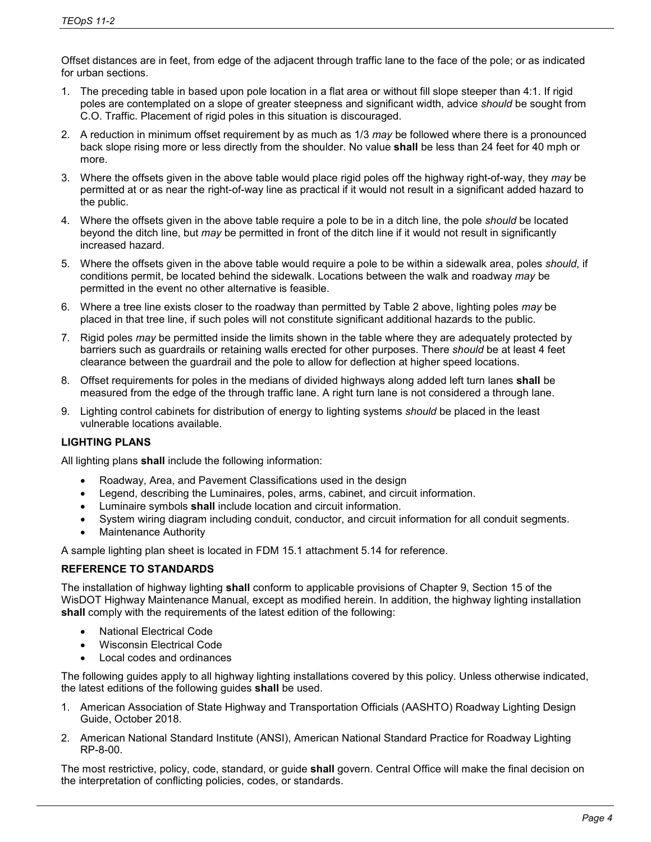Offset distances are in feet, from edge of the adjacent through traffic lane to the face of the pole; or as indicated for urban sections.

- 1. The preceding table in based upon pole location in a flat area or without fill slope steeper than 4:1. If rigid poles are contemplated on a slope of greater steepness and significant width, advice *should* be sought from C.O. Traffic. Placement of rigid poles in this situation is discouraged.
- 2. A reduction in minimum offset requirement by as much as 1/3 *may* be followed where there is a pronounced back slope rising more or less directly from the shoulder. No value **shall** be less than 24 feet for 40 mph or more.
- 3. Where the offsets given in the above table would place rigid poles off the highway right-of-way, they *may* be permitted at or as near the right-of-way line as practical if it would not result in a significant added hazard to the public.
- 4. Where the offsets given in the above table require a pole to be in a ditch line, the pole *should* be located beyond the ditch line, but *may* be permitted in front of the ditch line if it would not result in significantly increased hazard.
- 5. Where the offsets given in the above table would require a pole to be within a sidewalk area, poles *should*, if conditions permit, be located behind the sidewalk. Locations between the walk and roadway *may* be permitted in the event no other alternative is feasible.
- 6. Where a tree line exists closer to the roadway than permitted by Table 2 above, lighting poles *may* be placed in that tree line, if such poles will not constitute significant additional hazards to the public.
- 7. Rigid poles *may* be permitted inside the limits shown in the table where they are adequately protected by barriers such as guardrails or retaining walls erected for other purposes. There *should* be at least 4 feet clearance between the guardrail and the pole to allow for deflection at higher speed locations.
- 8. Offset requirements for poles in the medians of divided highways along added left turn lanes **shall** be measured from the edge of the through traffic lane. A right turn lane is not considered a through lane.
- 9. Lighting control cabinets for distribution of energy to lighting systems *should* be placed in the least vulnerable locations available.

# **LIGHTING PLANS**

All lighting plans **shall** include the following information:

- Roadway, Area, and Pavement Classifications used in the design
- Legend, describing the Luminaires, poles, arms, cabinet, and circuit information.
- Luminaire symbols **shall** include location and circuit information.
- System wiring diagram including conduit, conductor, and circuit information for all conduit segments.
- Maintenance Authority

A sample lighting plan sheet is located in FDM 15.1 attachment 5.14 for reference.

# **REFERENCE TO STANDARDS**

The installation of highway lighting **shall** conform to applicable provisions of Chapter 9, Section 15 of the WisDOT Highway Maintenance Manual, except as modified herein. In addition, the highway lighting installation **shall** comply with the requirements of the latest edition of the following:

- National Electrical Code
- Wisconsin Electrical Code
- Local codes and ordinances

The following guides apply to all highway lighting installations covered by this policy. Unless otherwise indicated, the latest editions of the following guides **shall** be used.

- 1. American Association of State Highway and Transportation Officials (AASHTO) Roadway Lighting Design Guide, October 2018.
- 2. American National Standard Institute (ANSI), American National Standard Practice for Roadway Lighting RP-8-00.

The most restrictive, policy, code, standard, or guide **shall** govern. Central Office will make the final decision on the interpretation of conflicting policies, codes, or standards.